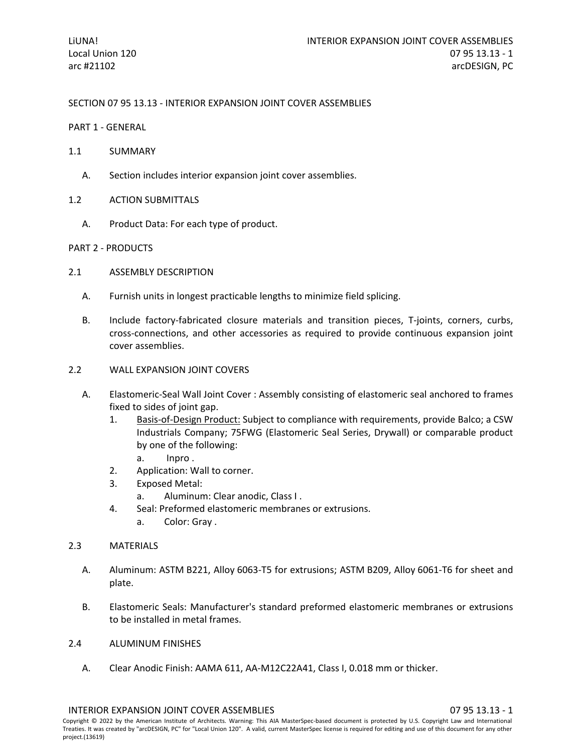SECTION 07 95 13.13 - INTERIOR EXPANSION JOINT COVER ASSEMBLIES

- PART 1 GENERAL
- 1.1 SUMMARY
	- A. Section includes interior expansion joint cover assemblies.
- 1.2 ACTION SUBMITTALS
	- A. Product Data: For each type of product.

### PART 2 - PRODUCTS

- 2.1 ASSEMBLY DESCRIPTION
	- A. Furnish units in longest practicable lengths to minimize field splicing.
	- B. Include factory-fabricated closure materials and transition pieces, T-joints, corners, curbs, cross-connections, and other accessories as required to provide continuous expansion joint cover assemblies.
- 2.2 WALL EXPANSION JOINT COVERS
	- A. Elastomeric-Seal Wall Joint Cover : Assembly consisting of elastomeric seal anchored to frames fixed to sides of joint gap.
		- 1. [Basis-of-Design Product:](http://www.specagent.com/LookUp/?ulid=12145&mf=04&src=wd) Subject to compliance with requirements, provide Balco; a CSW Industrials Company; 75FWG (Elastomeric Seal Series, Drywall) or comparable product by one of the following:
			- a. Inpro .
		- 2. Application: Wall to corner.
		- 3. Exposed Metal:
			- a. Aluminum: Clear anodic, Class I .
		- 4. Seal: Preformed elastomeric membranes or extrusions.
			- a. Color: Gray .

### 2.3 MATERIALS

- A. Aluminum: ASTM B221, Alloy 6063-T5 for extrusions; ASTM B209, Alloy 6061-T6 for sheet and plate.
- B. Elastomeric Seals: Manufacturer's standard preformed elastomeric membranes or extrusions to be installed in metal frames.
- 2.4 ALUMINUM FINISHES
	- A. Clear Anodic Finish: AAMA 611, AA-M12C22A41, Class I, 0.018 mm or thicker.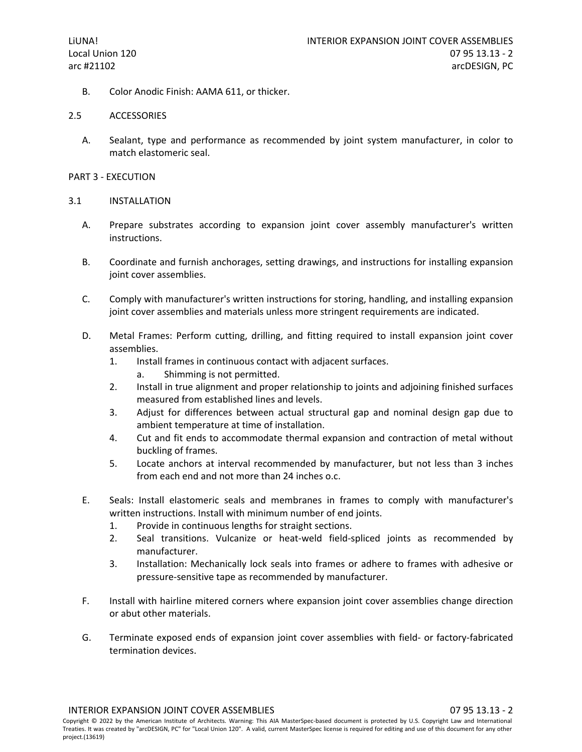B. Color Anodic Finish: AAMA 611, or thicker.

### 2.5 ACCESSORIES

A. Sealant, type and performance as recommended by joint system manufacturer, in color to match elastomeric seal.

# PART 3 - EXECUTION

#### 3.1 INSTALLATION

- A. Prepare substrates according to expansion joint cover assembly manufacturer's written instructions.
- B. Coordinate and furnish anchorages, setting drawings, and instructions for installing expansion joint cover assemblies.
- C. Comply with manufacturer's written instructions for storing, handling, and installing expansion joint cover assemblies and materials unless more stringent requirements are indicated.
- D. Metal Frames: Perform cutting, drilling, and fitting required to install expansion joint cover assemblies.
	- 1. Install frames in continuous contact with adjacent surfaces.
		- a. Shimming is not permitted.
	- 2. Install in true alignment and proper relationship to joints and adjoining finished surfaces measured from established lines and levels.
	- 3. Adjust for differences between actual structural gap and nominal design gap due to ambient temperature at time of installation.
	- 4. Cut and fit ends to accommodate thermal expansion and contraction of metal without buckling of frames.
	- 5. Locate anchors at interval recommended by manufacturer, but not less than 3 inches from each end and not more than 24 inches o.c.
- E. Seals: Install elastomeric seals and membranes in frames to comply with manufacturer's written instructions. Install with minimum number of end joints.
	- 1. Provide in continuous lengths for straight sections.
	- 2. Seal transitions. Vulcanize or heat-weld field-spliced joints as recommended by manufacturer.
	- 3. Installation: Mechanically lock seals into frames or adhere to frames with adhesive or pressure-sensitive tape as recommended by manufacturer.
- F. Install with hairline mitered corners where expansion joint cover assemblies change direction or abut other materials.
- G. Terminate exposed ends of expansion joint cover assemblies with field- or factory-fabricated termination devices.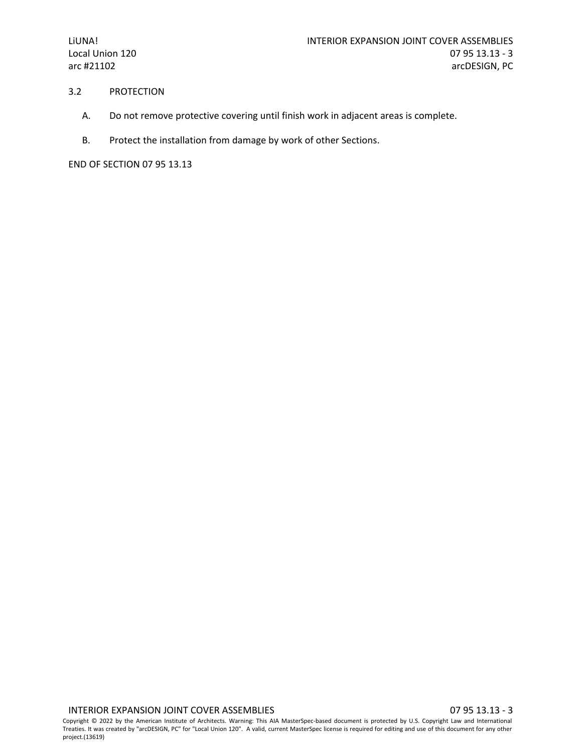### 3.2 PROTECTION

- A. Do not remove protective covering until finish work in adjacent areas is complete.
- B. Protect the installation from damage by work of other Sections.

END OF SECTION 07 95 13.13

Copyright © 2022 by the American Institute of Architects. Warning: This AIA MasterSpec-based document is protected by U.S. Copyright Law and International Treaties. It was created by "arcDESIGN, PC" for "Local Union 120". A valid, current MasterSpec license is required for editing and use of this document for any other project.(13619)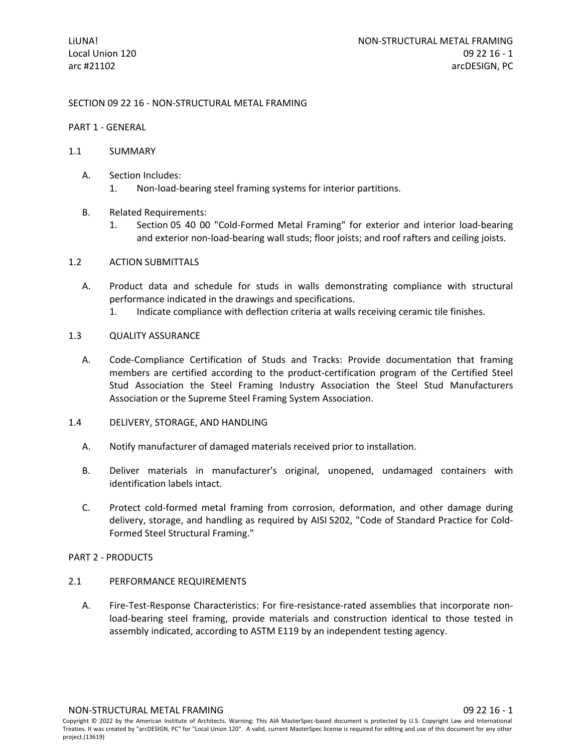# SECTION 09 22 16 - NON-STRUCTURAL METAL FRAMING

### PART 1 - GENERAL

### 1.1 SUMMARY

- A. Section Includes:
	- 1. Non-load-bearing steel framing systems for interior partitions.
- B. Related Requirements:
	- 1. Section 05 40 00 "Cold-Formed Metal Framing" for exterior and interior load-bearing and exterior non-load-bearing wall studs; floor joists; and roof rafters and ceiling joists.

# 1.2 ACTION SUBMITTALS

- A. Product data and schedule for studs in walls demonstrating compliance with structural performance indicated in the drawings and specifications.
	- 1. Indicate compliance with deflection criteria at walls receiving ceramic tile finishes.

### 1.3 QUALITY ASSURANCE

A. Code-Compliance Certification of Studs and Tracks: Provide documentation that framing members are certified according to the product-certification program of the Certified Steel Stud Association the Steel Framing Industry Association the Steel Stud Manufacturers Association or the Supreme Steel Framing System Association.

### 1.4 DELIVERY, STORAGE, AND HANDLING

- A. Notify manufacturer of damaged materials received prior to installation.
- B. Deliver materials in manufacturer's original, unopened, undamaged containers with identification labels intact.
- C. Protect cold-formed metal framing from corrosion, deformation, and other damage during delivery, storage, and handling as required by AISI S202, "Code of Standard Practice for Cold-Formed Steel Structural Framing."

### PART 2 - PRODUCTS

- 2.1 PERFORMANCE REQUIREMENTS
	- A. Fire-Test-Response Characteristics: For fire-resistance-rated assemblies that incorporate nonload-bearing steel framing, provide materials and construction identical to those tested in assembly indicated, according to ASTM E119 by an independent testing agency.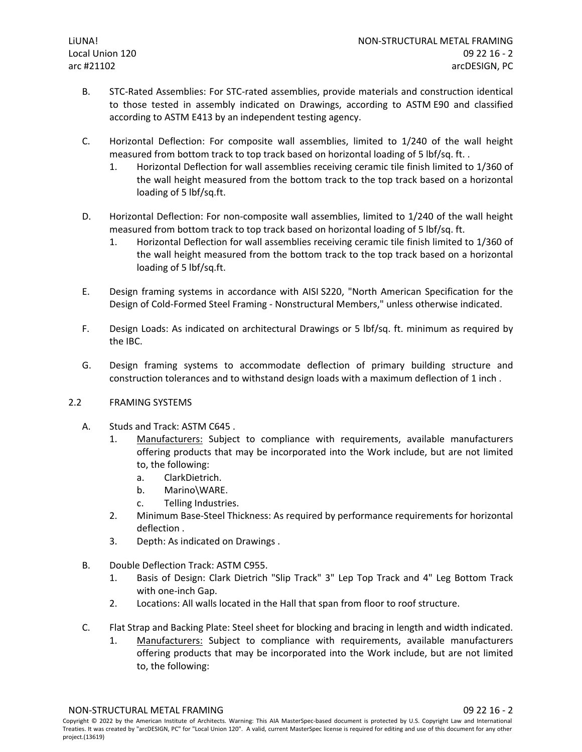- B. STC-Rated Assemblies: For STC-rated assemblies, provide materials and construction identical to those tested in assembly indicated on Drawings, according to ASTM E90 and classified according to ASTM E413 by an independent testing agency.
- C. Horizontal Deflection: For composite wall assemblies, limited to 1/240 of the wall height measured from bottom track to top track based on horizontal loading of 5 lbf/sq. ft..
	- 1. Horizontal Deflection for wall assemblies receiving ceramic tile finish limited to 1/360 of the wall height measured from the bottom track to the top track based on a horizontal loading of 5 lbf/sq.ft.
- D. Horizontal Deflection: For non-composite wall assemblies, limited to 1/240 of the wall height measured from bottom track to top track based on horizontal loading of 5 lbf/sq. ft.
	- 1. Horizontal Deflection for wall assemblies receiving ceramic tile finish limited to 1/360 of the wall height measured from the bottom track to the top track based on a horizontal loading of 5 lbf/sq.ft.
- E. Design framing systems in accordance with AISI S220, "North American Specification for the Design of Cold-Formed Steel Framing - Nonstructural Members," unless otherwise indicated.
- F. Design Loads: As indicated on architectural Drawings or 5 lbf/sq. ft. minimum as required by the IBC.
- G. Design framing systems to accommodate deflection of primary building structure and construction tolerances and to withstand design loads with a maximum deflection of 1 inch .

# 2.2 FRAMING SYSTEMS

- A. Studs and Track: ASTM C645 .
	- 1. [Manufacturers:](http://www.specagent.com/LookUp/?ulid=12028&mf=04&src=wd) Subject to compliance with requirements, available manufacturers offering products that may be incorporated into the Work include, but are not limited to, the following:
		- a. ClarkDietrich.
		- b. Marino\WARE.
		- c. Telling Industries.
	- 2. Minimum Base-Steel Thickness: As required by performance requirements for horizontal deflection .
	- 3. Depth: As indicated on Drawings .
- B. Double Deflection Track: ASTM C955.
	- 1. Basis of Design: Clark Dietrich "Slip Track" 3" Lep Top Track and 4" Leg Bottom Track with one-inch Gap.
	- 2. Locations: All walls located in the Hall that span from floor to roof structure.
- C. Flat Strap and Backing Plate: Steel sheet for blocking and bracing in length and width indicated.
	- 1. [Manufacturers:](http://www.specagent.com/LookUp/?ulid=12034&mf=04&src=wd) Subject to compliance with requirements, available manufacturers offering products that may be incorporated into the Work include, but are not limited to, the following: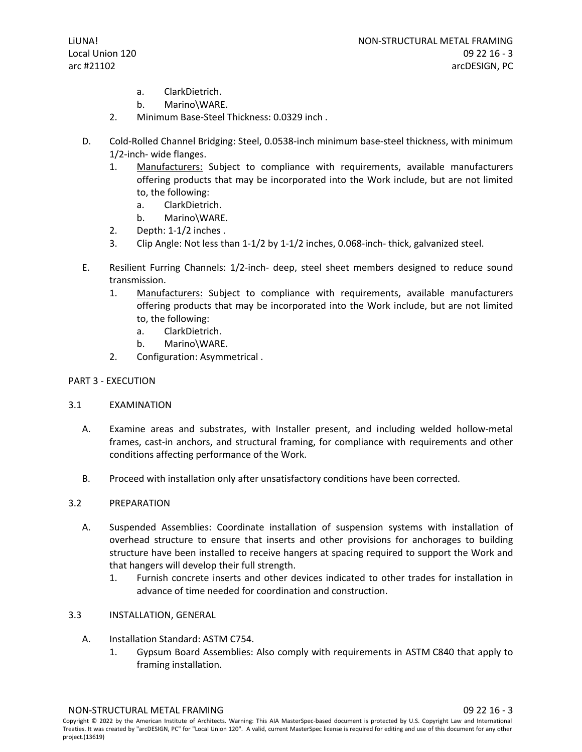- a. ClarkDietrich.
- b. Marino\WARE.
- 2. Minimum Base-Steel Thickness: 0.0329 inch .
- D. Cold-Rolled Channel Bridging: Steel, 0.0538-inch minimum base-steel thickness, with minimum 1/2-inch- wide flanges.
	- 1. [Manufacturers:](http://www.specagent.com/LookUp/?ulid=12035&mf=04&src=wd) Subject to compliance with requirements, available manufacturers offering products that may be incorporated into the Work include, but are not limited to, the following:
		- a. ClarkDietrich.
		- b. Marino\WARE.
	- 2. Depth: 1-1/2 inches .
	- 3. Clip Angle: Not less than 1-1/2 by 1-1/2 inches, 0.068-inch- thick, galvanized steel.
- E. Resilient Furring Channels: 1/2-inch- deep, steel sheet members designed to reduce sound transmission.
	- 1. [Manufacturers:](http://www.specagent.com/LookUp/?ulid=12040&mf=04&src=wd) Subject to compliance with requirements, available manufacturers offering products that may be incorporated into the Work include, but are not limited to, the following:
		- a. ClarkDietrich.
		- b. Marino\WARE.
	- 2. Configuration: Asymmetrical .

# PART 3 - EXECUTION

### 3.1 EXAMINATION

- A. Examine areas and substrates, with Installer present, and including welded hollow-metal frames, cast-in anchors, and structural framing, for compliance with requirements and other conditions affecting performance of the Work.
- B. Proceed with installation only after unsatisfactory conditions have been corrected.

# 3.2 PREPARATION

- A. Suspended Assemblies: Coordinate installation of suspension systems with installation of overhead structure to ensure that inserts and other provisions for anchorages to building structure have been installed to receive hangers at spacing required to support the Work and that hangers will develop their full strength.
	- 1. Furnish concrete inserts and other devices indicated to other trades for installation in advance of time needed for coordination and construction.
- 3.3 INSTALLATION, GENERAL
	- A. Installation Standard: ASTM C754.
		- 1. Gypsum Board Assemblies: Also comply with requirements in ASTM C840 that apply to framing installation.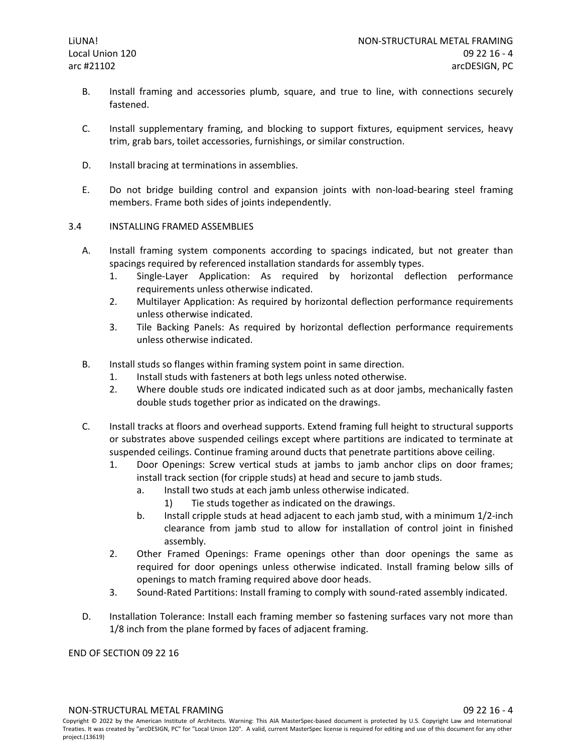- B. Install framing and accessories plumb, square, and true to line, with connections securely fastened.
- C. Install supplementary framing, and blocking to support fixtures, equipment services, heavy trim, grab bars, toilet accessories, furnishings, or similar construction.
- D. Install bracing at terminations in assemblies.
- E. Do not bridge building control and expansion joints with non-load-bearing steel framing members. Frame both sides of joints independently.

### 3.4 INSTALLING FRAMED ASSEMBLIES

- A. Install framing system components according to spacings indicated, but not greater than spacings required by referenced installation standards for assembly types.
	- 1. Single-Layer Application: As required by horizontal deflection performance requirements unless otherwise indicated.
	- 2. Multilayer Application: As required by horizontal deflection performance requirements unless otherwise indicated.
	- 3. Tile Backing Panels: As required by horizontal deflection performance requirements unless otherwise indicated.
- B. Install studs so flanges within framing system point in same direction.
	- 1. Install studs with fasteners at both legs unless noted otherwise.
	- 2. Where double studs ore indicated indicated such as at door jambs, mechanically fasten double studs together prior as indicated on the drawings.
- C. Install tracks at floors and overhead supports. Extend framing full height to structural supports or substrates above suspended ceilings except where partitions are indicated to terminate at suspended ceilings. Continue framing around ducts that penetrate partitions above ceiling.
	- 1. Door Openings: Screw vertical studs at jambs to jamb anchor clips on door frames; install track section (for cripple studs) at head and secure to jamb studs.
		- a. Install two studs at each jamb unless otherwise indicated.
			- 1) Tie studs together as indicated on the drawings.
		- b. Install cripple studs at head adjacent to each jamb stud, with a minimum 1/2-inch clearance from jamb stud to allow for installation of control joint in finished assembly.
	- 2. Other Framed Openings: Frame openings other than door openings the same as required for door openings unless otherwise indicated. Install framing below sills of openings to match framing required above door heads.
	- 3. Sound-Rated Partitions: Install framing to comply with sound-rated assembly indicated.
- D. Installation Tolerance: Install each framing member so fastening surfaces vary not more than 1/8 inch from the plane formed by faces of adjacent framing.

### END OF SECTION 09 22 16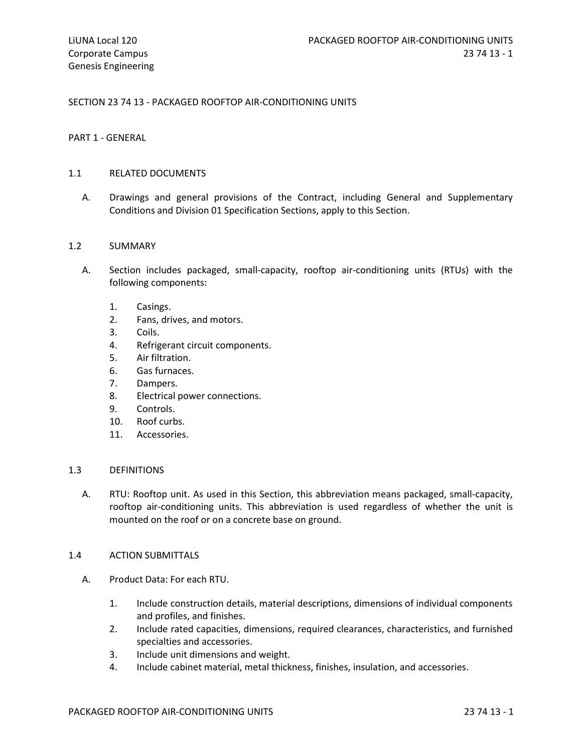### SECTION 23 74 13 - PACKAGED ROOFTOP AIR-CONDITIONING UNITS

#### PART 1 - GENERAL

#### 1.1 RELATED DOCUMENTS

A. Drawings and general provisions of the Contract, including General and Supplementary Conditions and Division 01 Specification Sections, apply to this Section.

#### 1.2 SUMMARY

- A. Section includes packaged, small-capacity, rooftop air-conditioning units (RTUs) with the following components:
	- 1. Casings.
	- 2. Fans, drives, and motors.
	- 3. Coils.
	- 4. Refrigerant circuit components.
	- 5. Air filtration.
	- 6. Gas furnaces.
	- 7. Dampers.
	- 8. Electrical power connections.
	- 9. Controls.
	- 10. Roof curbs.
	- 11. Accessories.

### 1.3 DEFINITIONS

A. RTU: Rooftop unit. As used in this Section, this abbreviation means packaged, small-capacity, rooftop air-conditioning units. This abbreviation is used regardless of whether the unit is mounted on the roof or on a concrete base on ground.

# 1.4 ACTION SUBMITTALS

- A. Product Data: For each RTU.
	- 1. Include construction details, material descriptions, dimensions of individual components and profiles, and finishes.
	- 2. Include rated capacities, dimensions, required clearances, characteristics, and furnished specialties and accessories.
	- 3. Include unit dimensions and weight.
	- 4. Include cabinet material, metal thickness, finishes, insulation, and accessories.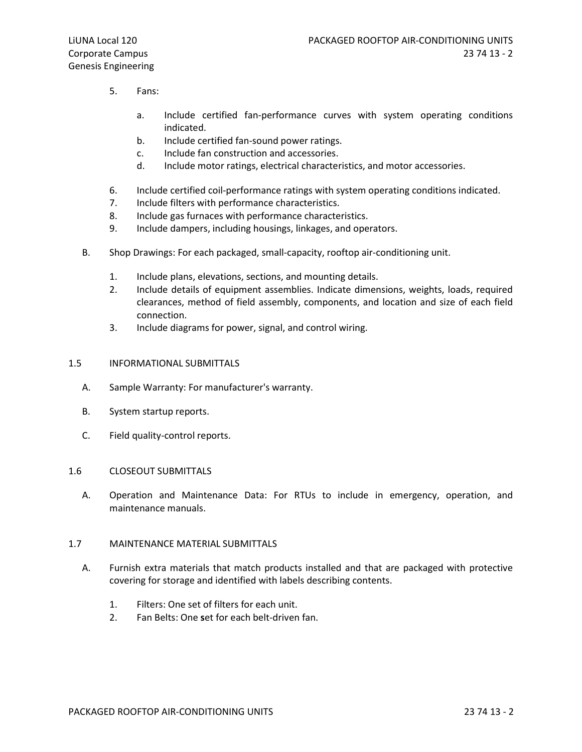- 5. Fans:
	- a. Include certified fan-performance curves with system operating conditions indicated.
	- b. Include certified fan-sound power ratings.
	- c. Include fan construction and accessories.
	- d. Include motor ratings, electrical characteristics, and motor accessories.
- 6. Include certified coil-performance ratings with system operating conditions indicated.
- 7. Include filters with performance characteristics.
- 8. Include gas furnaces with performance characteristics.
- 9. Include dampers, including housings, linkages, and operators.
- B. Shop Drawings: For each packaged, small-capacity, rooftop air-conditioning unit.
	- 1. Include plans, elevations, sections, and mounting details.
	- 2. Include details of equipment assemblies. Indicate dimensions, weights, loads, required clearances, method of field assembly, components, and location and size of each field connection.
	- 3. Include diagrams for power, signal, and control wiring.

### 1.5 INFORMATIONAL SUBMITTALS

- A. Sample Warranty: For manufacturer's warranty.
- B. System startup reports.
- C. Field quality-control reports.

### 1.6 CLOSEOUT SUBMITTALS

A. Operation and Maintenance Data: For RTUs to include in emergency, operation, and maintenance manuals.

# 1.7 MAINTENANCE MATERIAL SUBMITTALS

- A. Furnish extra materials that match products installed and that are packaged with protective covering for storage and identified with labels describing contents.
	- 1. Filters: One set of filters for each unit.
	- 2. Fan Belts: One set for each belt-driven fan.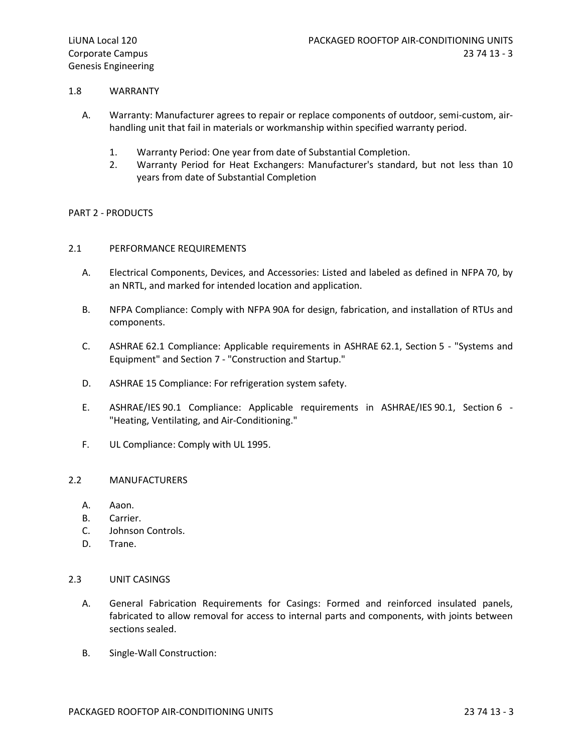### 1.8 WARRANTY

- A. Warranty: Manufacturer agrees to repair or replace components of outdoor, semi-custom, airhandling unit that fail in materials or workmanship within specified warranty period.
	- 1. Warranty Period: One year from date of Substantial Completion.
	- 2. Warranty Period for Heat Exchangers: Manufacturer's standard, but not less than 10 years from date of Substantial Completion

### PART 2 - PRODUCTS

### 2.1 PERFORMANCE REQUIREMENTS

- A. Electrical Components, Devices, and Accessories: Listed and labeled as defined in NFPA 70, by an NRTL, and marked for intended location and application.
- B. NFPA Compliance: Comply with NFPA 90A for design, fabrication, and installation of RTUs and components.
- C. ASHRAE 62.1 Compliance: Applicable requirements in ASHRAE 62.1, Section 5 "Systems and Equipment" and Section 7 - "Construction and Startup."
- D. ASHRAE 15 Compliance: For refrigeration system safety.
- E. ASHRAE/IES 90.1 Compliance: Applicable requirements in ASHRAE/IES 90.1, Section 6 "Heating, Ventilating, and Air-Conditioning."
- F. UL Compliance: Comply with UL 1995.

### 2.2 MANUFACTURERS

- A. Aaon.
- B. Carrier.
- C. Johnson Controls.
- D. Trane.

# 2.3 UNIT CASINGS

- A. General Fabrication Requirements for Casings: Formed and reinforced insulated panels, fabricated to allow removal for access to internal parts and components, with joints between sections sealed.
- B. Single-Wall Construction: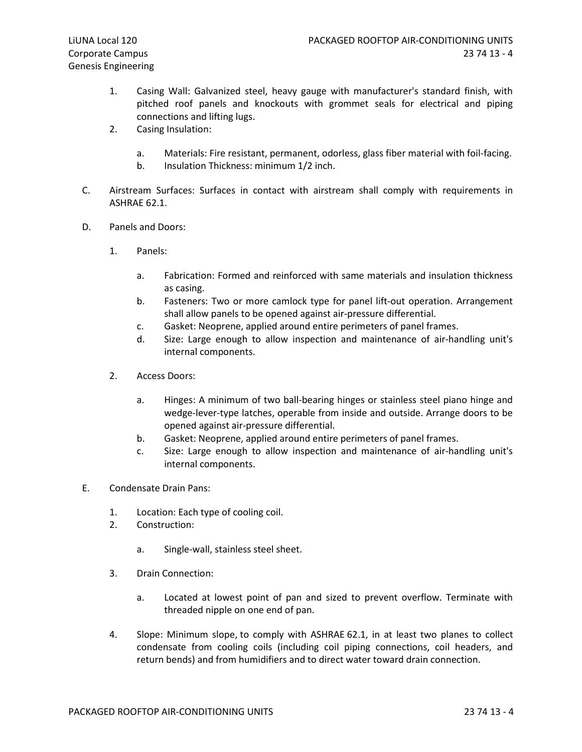- 1. Casing Wall: Galvanized steel, heavy gauge with manufacturer's standard finish, with pitched roof panels and knockouts with grommet seals for electrical and piping connections and lifting lugs.
- 2. Casing Insulation:
	- a. Materials: Fire resistant, permanent, odorless, glass fiber material with foil-facing.
	- b. Insulation Thickness: minimum 1/2 inch.
- C. Airstream Surfaces: Surfaces in contact with airstream shall comply with requirements in ASHRAE 62.1.
- D. Panels and Doors:
	- 1. Panels:
		- a. Fabrication: Formed and reinforced with same materials and insulation thickness as casing.
		- b. Fasteners: Two or more camlock type for panel lift-out operation. Arrangement shall allow panels to be opened against air-pressure differential.
		- c. Gasket: Neoprene, applied around entire perimeters of panel frames.
		- d. Size: Large enough to allow inspection and maintenance of air-handling unit's internal components.
	- 2. Access Doors:
		- a. Hinges: A minimum of two ball-bearing hinges or stainless steel piano hinge and wedge-lever-type latches, operable from inside and outside. Arrange doors to be opened against air-pressure differential.
		- b. Gasket: Neoprene, applied around entire perimeters of panel frames.
		- c. Size: Large enough to allow inspection and maintenance of air-handling unit's internal components.
- E. Condensate Drain Pans:
	- 1. Location: Each type of cooling coil.
	- 2. Construction:
		- a. Single-wall, stainless steel sheet.
	- 3. Drain Connection:
		- a. Located at lowest point of pan and sized to prevent overflow. Terminate with threaded nipple on one end of pan.
	- 4. Slope: Minimum slope, to comply with ASHRAE 62.1, in at least two planes to collect condensate from cooling coils (including coil piping connections, coil headers, and return bends) and from humidifiers and to direct water toward drain connection.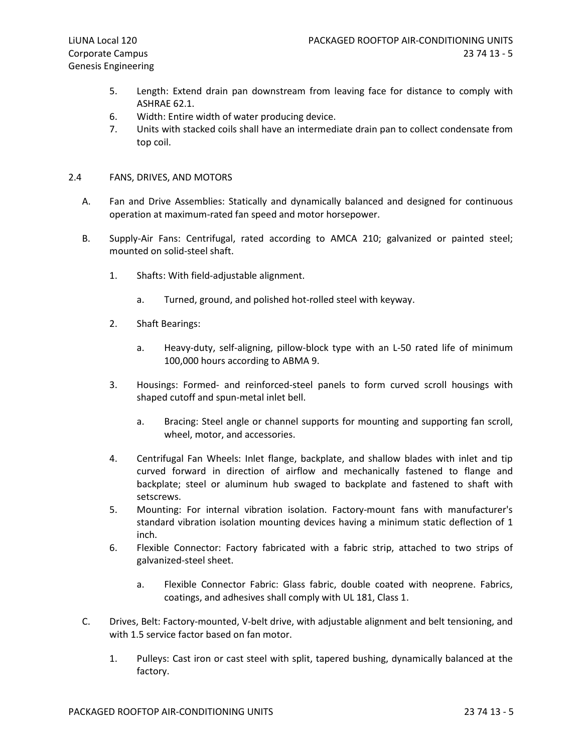- 5. Length: Extend drain pan downstream from leaving face for distance to comply with ASHRAE 62.1.
- 6. Width: Entire width of water producing device.
- 7. Units with stacked coils shall have an intermediate drain pan to collect condensate from top coil.

# 2.4 FANS, DRIVES, AND MOTORS

- A. Fan and Drive Assemblies: Statically and dynamically balanced and designed for continuous operation at maximum-rated fan speed and motor horsepower.
- B. Supply-Air Fans: Centrifugal, rated according to AMCA 210; galvanized or painted steel; mounted on solid-steel shaft.
	- 1. Shafts: With field-adjustable alignment.
		- a. Turned, ground, and polished hot-rolled steel with keyway.
	- 2. Shaft Bearings:
		- a. Heavy-duty, self-aligning, pillow-block type with an L-50 rated life of minimum 100,000 hours according to ABMA 9.
	- 3. Housings: Formed- and reinforced-steel panels to form curved scroll housings with shaped cutoff and spun-metal inlet bell.
		- a. Bracing: Steel angle or channel supports for mounting and supporting fan scroll, wheel, motor, and accessories.
	- 4. Centrifugal Fan Wheels: Inlet flange, backplate, and shallow blades with inlet and tip curved forward in direction of airflow and mechanically fastened to flange and backplate; steel or aluminum hub swaged to backplate and fastened to shaft with setscrews.
	- 5. Mounting: For internal vibration isolation. Factory-mount fans with manufacturer's standard vibration isolation mounting devices having a minimum static deflection of 1 inch.
	- 6. Flexible Connector: Factory fabricated with a fabric strip, attached to two strips of galvanized-steel sheet.
		- a. Flexible Connector Fabric: Glass fabric, double coated with neoprene. Fabrics, coatings, and adhesives shall comply with UL 181, Class 1.
- C. Drives, Belt: Factory-mounted, V-belt drive, with adjustable alignment and belt tensioning, and with 1.5 service factor based on fan motor.
	- 1. Pulleys: Cast iron or cast steel with split, tapered bushing, dynamically balanced at the factory.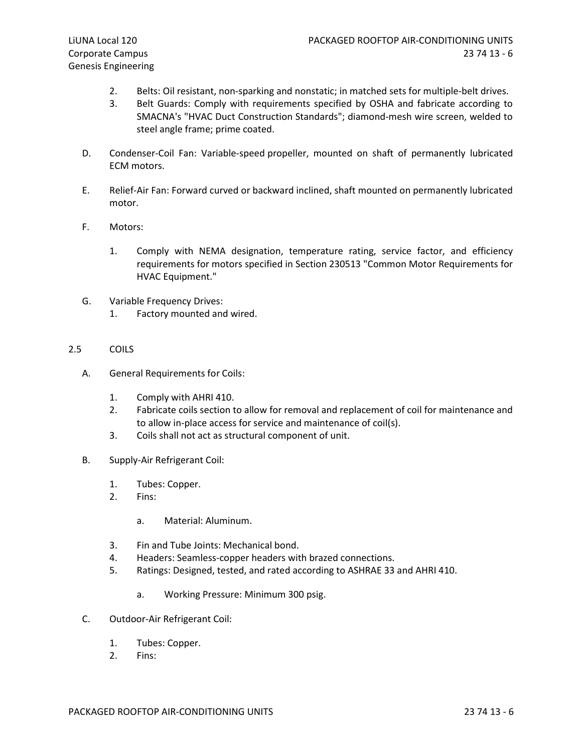- 2. Belts: Oil resistant, non-sparking and nonstatic; in matched sets for multiple-belt drives.
- 3. Belt Guards: Comply with requirements specified by OSHA and fabricate according to SMACNA's "HVAC Duct Construction Standards"; diamond-mesh wire screen, welded to steel angle frame; prime coated.
- D. Condenser-Coil Fan: Variable-speed propeller, mounted on shaft of permanently lubricated ECM motors.
- E. Relief-Air Fan: Forward curved or backward inclined, shaft mounted on permanently lubricated motor.
- F. Motors:
	- 1. Comply with NEMA designation, temperature rating, service factor, and efficiency requirements for motors specified in Section 230513 "Common Motor Requirements for HVAC Equipment."
- G. Variable Frequency Drives:
	- 1. Factory mounted and wired.

### 2.5 COILS

- A. General Requirements for Coils:
	- 1. Comply with AHRI 410.
	- 2. Fabricate coils section to allow for removal and replacement of coil for maintenance and to allow in-place access for service and maintenance of coil(s).
	- 3. Coils shall not act as structural component of unit.
- B. Supply-Air Refrigerant Coil:
	- 1. Tubes: Copper.
	- 2. Fins:
		- a. Material: Aluminum.
	- 3. Fin and Tube Joints: Mechanical bond.
	- 4. Headers: Seamless-copper headers with brazed connections.
	- 5. Ratings: Designed, tested, and rated according to ASHRAE 33 and AHRI 410.
		- a. Working Pressure: Minimum 300 psig.
- C. Outdoor-Air Refrigerant Coil:
	- 1. Tubes: Copper.
	- 2. Fins: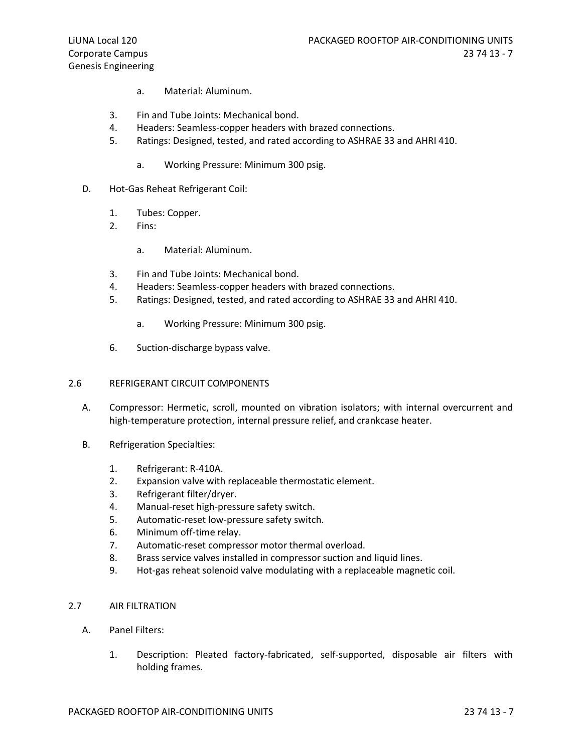- a. Material: Aluminum.
- 3. Fin and Tube Joints: Mechanical bond.
- 4. Headers: Seamless-copper headers with brazed connections.
- 5. Ratings: Designed, tested, and rated according to ASHRAE 33 and AHRI 410.
	- a. Working Pressure: Minimum 300 psig.
- D. Hot-Gas Reheat Refrigerant Coil:
	- 1. Tubes: Copper.
	- 2. Fins:
		- a. Material: Aluminum.
	- 3. Fin and Tube Joints: Mechanical bond.
	- 4. Headers: Seamless-copper headers with brazed connections.
	- 5. Ratings: Designed, tested, and rated according to ASHRAE 33 and AHRI 410.
		- a. Working Pressure: Minimum 300 psig.
	- 6. Suction-discharge bypass valve.

### 2.6 REFRIGERANT CIRCUIT COMPONENTS

- A. Compressor: Hermetic, scroll, mounted on vibration isolators; with internal overcurrent and high-temperature protection, internal pressure relief, and crankcase heater.
- B. Refrigeration Specialties:
	- 1. Refrigerant: R-410A.
	- 2. Expansion valve with replaceable thermostatic element.
	- 3. Refrigerant filter/dryer.
	- 4. Manual-reset high-pressure safety switch.
	- 5. Automatic-reset low-pressure safety switch.
	- 6. Minimum off-time relay.
	- 7. Automatic-reset compressor motor thermal overload.
	- 8. Brass service valves installed in compressor suction and liquid lines.
	- 9. Hot-gas reheat solenoid valve modulating with a replaceable magnetic coil.
- 2.7 AIR FILTRATION
	- A. Panel Filters:
		- 1. Description: Pleated factory-fabricated, self-supported, disposable air filters with holding frames.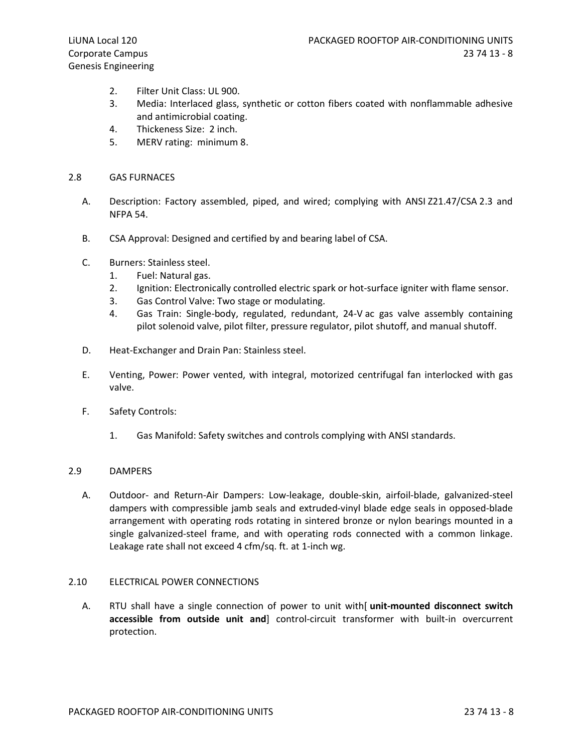- 2. Filter Unit Class: UL 900.
- 3. Media: Interlaced glass, synthetic or cotton fibers coated with nonflammable adhesive and antimicrobial coating.
- 4. Thickeness Size: 2 inch.
- 5. MERV rating: minimum 8.

# 2.8 GAS FURNACES

- A. Description: Factory assembled, piped, and wired; complying with ANSI Z21.47/CSA 2.3 and NFPA 54.
- B. CSA Approval: Designed and certified by and bearing label of CSA.
- C. Burners: Stainless steel.
	- 1. Fuel: Natural gas.
	- 2. Ignition: Electronically controlled electric spark or hot-surface igniter with flame sensor.
	- 3. Gas Control Valve: Two stage or modulating.
	- 4. Gas Train: Single-body, regulated, redundant, 24-V ac gas valve assembly containing pilot solenoid valve, pilot filter, pressure regulator, pilot shutoff, and manual shutoff.
- D. Heat-Exchanger and Drain Pan: Stainless steel.
- E. Venting, Power: Power vented, with integral, motorized centrifugal fan interlocked with gas valve.
- F. Safety Controls:
	- 1. Gas Manifold: Safety switches and controls complying with ANSI standards.

### 2.9 DAMPERS

A. Outdoor- and Return-Air Dampers: Low-leakage, double-skin, airfoil-blade, galvanized-steel dampers with compressible jamb seals and extruded-vinyl blade edge seals in opposed-blade arrangement with operating rods rotating in sintered bronze or nylon bearings mounted in a single galvanized-steel frame, and with operating rods connected with a common linkage. Leakage rate shall not exceed 4 cfm/sq. ft. at 1-inch wg.

### 2.10 ELECTRICAL POWER CONNECTIONS

A. RTU shall have a single connection of power to unit with[ unit-mounted disconnect switch accessible from outside unit and] control-circuit transformer with built-in overcurrent protection.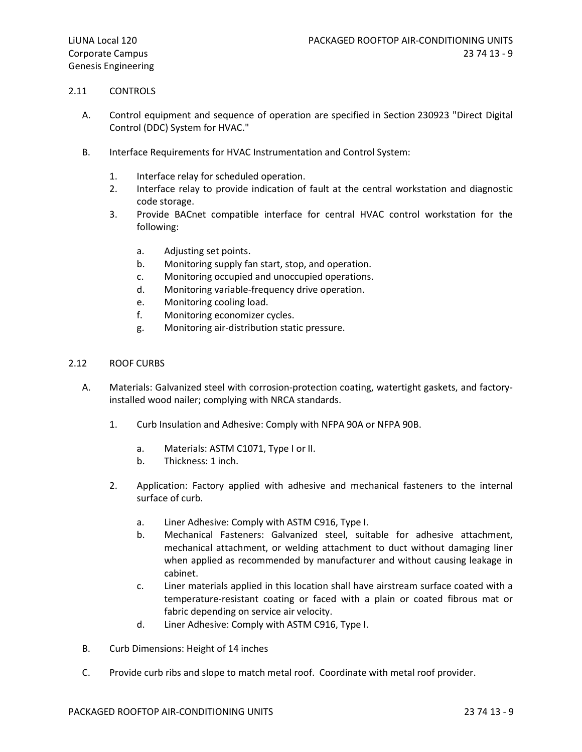# 2.11 CONTROLS

- A. Control equipment and sequence of operation are specified in Section 230923 "Direct Digital Control (DDC) System for HVAC."
- B. Interface Requirements for HVAC Instrumentation and Control System:
	- 1. Interface relay for scheduled operation.
	- 2. Interface relay to provide indication of fault at the central workstation and diagnostic code storage.
	- 3. Provide BACnet compatible interface for central HVAC control workstation for the following:
		- a. Adjusting set points.
		- b. Monitoring supply fan start, stop, and operation.
		- c. Monitoring occupied and unoccupied operations.
		- d. Monitoring variable-frequency drive operation.
		- e. Monitoring cooling load.
		- f. Monitoring economizer cycles.
		- g. Monitoring air-distribution static pressure.

# 2.12 ROOF CURBS

- A. Materials: Galvanized steel with corrosion-protection coating, watertight gaskets, and factoryinstalled wood nailer; complying with NRCA standards.
	- 1. Curb Insulation and Adhesive: Comply with NFPA 90A or NFPA 90B.
		- a. Materials: ASTM C1071, Type I or II.
		- b. Thickness: 1 inch.
	- 2. Application: Factory applied with adhesive and mechanical fasteners to the internal surface of curb.
		- a. Liner Adhesive: Comply with ASTM C916, Type I.
		- b. Mechanical Fasteners: Galvanized steel, suitable for adhesive attachment, mechanical attachment, or welding attachment to duct without damaging liner when applied as recommended by manufacturer and without causing leakage in cabinet.
		- c. Liner materials applied in this location shall have airstream surface coated with a temperature-resistant coating or faced with a plain or coated fibrous mat or fabric depending on service air velocity.
		- d. Liner Adhesive: Comply with ASTM C916, Type I.
- B. Curb Dimensions: Height of 14 inches
- C. Provide curb ribs and slope to match metal roof. Coordinate with metal roof provider.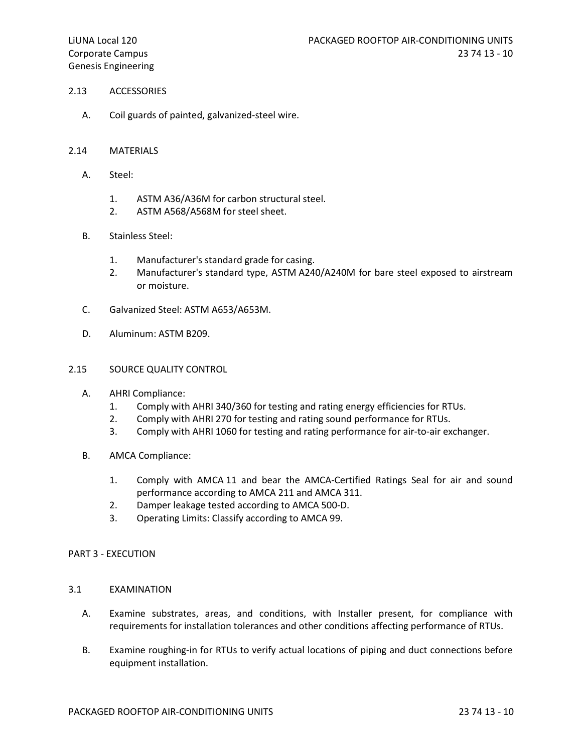### 2.13 ACCESSORIES

A. Coil guards of painted, galvanized-steel wire.

### 2.14 MATERIALS

- A. Steel:
	- 1. ASTM A36/A36M for carbon structural steel.
	- 2. ASTM A568/A568M for steel sheet.
- B. Stainless Steel:
	- 1. Manufacturer's standard grade for casing.
	- 2. Manufacturer's standard type, ASTM A240/A240M for bare steel exposed to airstream or moisture.
- C. Galvanized Steel: ASTM A653/A653M.
- D. Aluminum: ASTM B209.

### 2.15 SOURCE QUALITY CONTROL

- A. AHRI Compliance:
	- 1. Comply with AHRI 340/360 for testing and rating energy efficiencies for RTUs.
	- 2. Comply with AHRI 270 for testing and rating sound performance for RTUs.
	- 3. Comply with AHRI 1060 for testing and rating performance for air-to-air exchanger.
- B. AMCA Compliance:
	- 1. Comply with AMCA 11 and bear the AMCA-Certified Ratings Seal for air and sound performance according to AMCA 211 and AMCA 311.
	- 2. Damper leakage tested according to AMCA 500-D.
	- 3. Operating Limits: Classify according to AMCA 99.

### PART 3 - EXECUTION

### 3.1 EXAMINATION

- A. Examine substrates, areas, and conditions, with Installer present, for compliance with requirements for installation tolerances and other conditions affecting performance of RTUs.
- B. Examine roughing-in for RTUs to verify actual locations of piping and duct connections before equipment installation.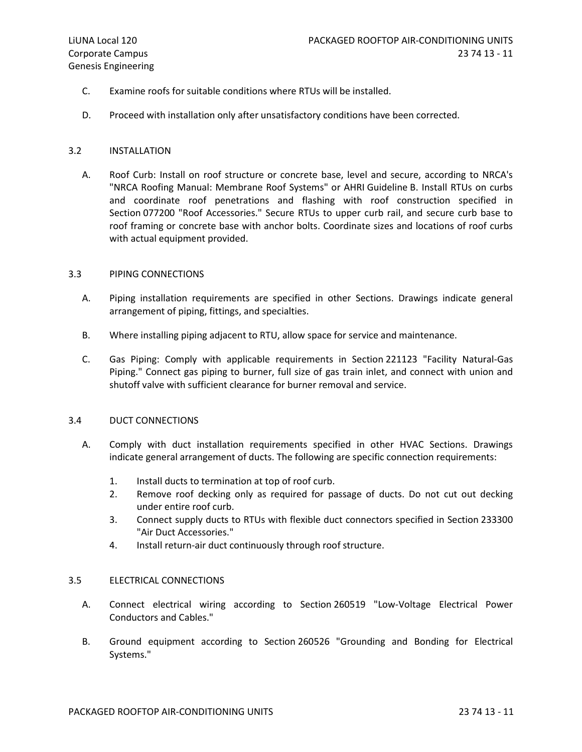- C. Examine roofs for suitable conditions where RTUs will be installed.
- D. Proceed with installation only after unsatisfactory conditions have been corrected.

#### 3.2 INSTALLATION

A. Roof Curb: Install on roof structure or concrete base, level and secure, according to NRCA's "NRCA Roofing Manual: Membrane Roof Systems" or AHRI Guideline B. Install RTUs on curbs and coordinate roof penetrations and flashing with roof construction specified in Section 077200 "Roof Accessories." Secure RTUs to upper curb rail, and secure curb base to roof framing or concrete base with anchor bolts. Coordinate sizes and locations of roof curbs with actual equipment provided.

#### 3.3 PIPING CONNECTIONS

- A. Piping installation requirements are specified in other Sections. Drawings indicate general arrangement of piping, fittings, and specialties.
- B. Where installing piping adjacent to RTU, allow space for service and maintenance.
- C. Gas Piping: Comply with applicable requirements in Section 221123 "Facility Natural-Gas Piping." Connect gas piping to burner, full size of gas train inlet, and connect with union and shutoff valve with sufficient clearance for burner removal and service.

### 3.4 DUCT CONNECTIONS

- A. Comply with duct installation requirements specified in other HVAC Sections. Drawings indicate general arrangement of ducts. The following are specific connection requirements:
	- 1. Install ducts to termination at top of roof curb.
	- 2. Remove roof decking only as required for passage of ducts. Do not cut out decking under entire roof curb.
	- 3. Connect supply ducts to RTUs with flexible duct connectors specified in Section 233300 "Air Duct Accessories."
	- 4. Install return-air duct continuously through roof structure.

#### 3.5 ELECTRICAL CONNECTIONS

- A. Connect electrical wiring according to Section 260519 "Low-Voltage Electrical Power Conductors and Cables."
- B. Ground equipment according to Section 260526 "Grounding and Bonding for Electrical Systems."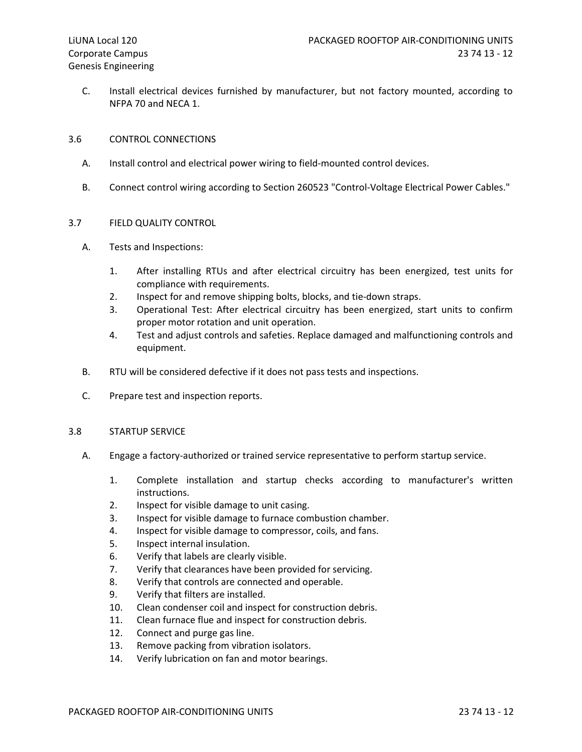C. Install electrical devices furnished by manufacturer, but not factory mounted, according to NFPA 70 and NECA 1.

### 3.6 CONTROL CONNECTIONS

- A. Install control and electrical power wiring to field-mounted control devices.
- B. Connect control wiring according to Section 260523 "Control-Voltage Electrical Power Cables."

### 3.7 FIELD QUALITY CONTROL

- A. Tests and Inspections:
	- 1. After installing RTUs and after electrical circuitry has been energized, test units for compliance with requirements.
	- 2. Inspect for and remove shipping bolts, blocks, and tie-down straps.
	- 3. Operational Test: After electrical circuitry has been energized, start units to confirm proper motor rotation and unit operation.
	- 4. Test and adjust controls and safeties. Replace damaged and malfunctioning controls and equipment.
- B. RTU will be considered defective if it does not pass tests and inspections.
- C. Prepare test and inspection reports.

### 3.8 STARTUP SERVICE

- A. Engage a factory-authorized or trained service representative to perform startup service.
	- 1. Complete installation and startup checks according to manufacturer's written instructions.
	- 2. Inspect for visible damage to unit casing.
	- 3. Inspect for visible damage to furnace combustion chamber.
	- 4. Inspect for visible damage to compressor, coils, and fans.
	- 5. Inspect internal insulation.
	- 6. Verify that labels are clearly visible.
	- 7. Verify that clearances have been provided for servicing.
	- 8. Verify that controls are connected and operable.
	- 9. Verify that filters are installed.
	- 10. Clean condenser coil and inspect for construction debris.
	- 11. Clean furnace flue and inspect for construction debris.
	- 12. Connect and purge gas line.
	- 13. Remove packing from vibration isolators.
	- 14. Verify lubrication on fan and motor bearings.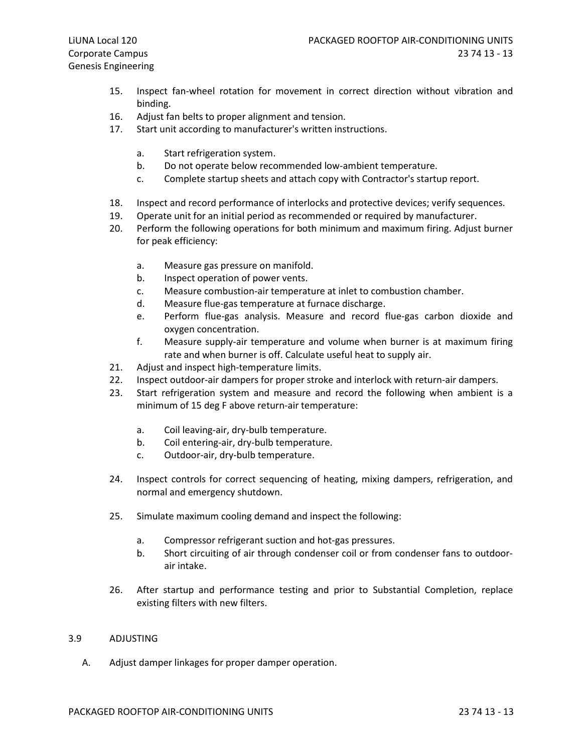- 15. Inspect fan-wheel rotation for movement in correct direction without vibration and binding.
- 16. Adjust fan belts to proper alignment and tension.
- 17. Start unit according to manufacturer's written instructions.
	- a. Start refrigeration system.
	- b. Do not operate below recommended low-ambient temperature.
	- c. Complete startup sheets and attach copy with Contractor's startup report.
- 18. Inspect and record performance of interlocks and protective devices; verify sequences.
- 19. Operate unit for an initial period as recommended or required by manufacturer.
- 20. Perform the following operations for both minimum and maximum firing. Adjust burner for peak efficiency:
	- a. Measure gas pressure on manifold.
	- b. Inspect operation of power vents.
	- c. Measure combustion-air temperature at inlet to combustion chamber.
	- d. Measure flue-gas temperature at furnace discharge.
	- e. Perform flue-gas analysis. Measure and record flue-gas carbon dioxide and oxygen concentration.
	- f. Measure supply-air temperature and volume when burner is at maximum firing rate and when burner is off. Calculate useful heat to supply air.
- 21. Adjust and inspect high-temperature limits.
- 22. Inspect outdoor-air dampers for proper stroke and interlock with return-air dampers.
- 23. Start refrigeration system and measure and record the following when ambient is a minimum of 15 deg F above return-air temperature:
	- a. Coil leaving-air, dry-bulb temperature.
	- b. Coil entering-air, dry-bulb temperature.
	- c. Outdoor-air, dry-bulb temperature.
- 24. Inspect controls for correct sequencing of heating, mixing dampers, refrigeration, and normal and emergency shutdown.
- 25. Simulate maximum cooling demand and inspect the following:
	- a. Compressor refrigerant suction and hot-gas pressures.
	- b. Short circuiting of air through condenser coil or from condenser fans to outdoorair intake.
- 26. After startup and performance testing and prior to Substantial Completion, replace existing filters with new filters.

### 3.9 ADJUSTING

A. Adjust damper linkages for proper damper operation.